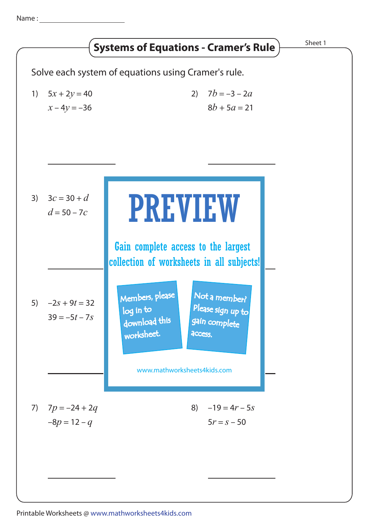Name :